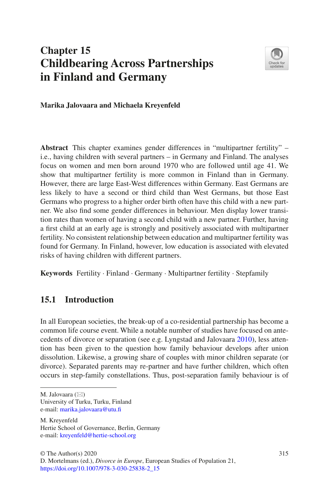# **Chapter 15 Childbearing Across Partnerships in Finland and Germany**



**Marika Jalovaara and Michaela Kreyenfeld**

**Abstract** This chapter examines gender differences in "multipartner fertility" – i.e., having children with several partners – in Germany and Finland. The analyses focus on women and men born around 1970 who are followed until age 41. We show that multipartner fertility is more common in Finland than in Germany. However, there are large East-West differences within Germany. East Germans are less likely to have a second or third child than West Germans, but those East Germans who progress to a higher order birth often have this child with a new partner. We also find some gender differences in behaviour. Men display lower transition rates than women of having a second child with a new partner. Further, having a first child at an early age is strongly and positively associated with multipartner fertility. No consistent relationship between education and multipartner fertility was found for Germany. In Finland, however, low education is associated with elevated risks of having children with different partners.

**Keywords** Fertility · Finland · Germany · Multipartner fertility · Stepfamily

# **15.1 Introduction**

In all European societies, the break-up of a co-residential partnership has become a common life course event. While a notable number of studies have focused on antecedents of divorce or separation (see e.g. Lyngstad and Jalovaara [2010\)](#page-19-0), less attention has been given to the question how family behaviour develops after union dissolution. Likewise, a growing share of couples with minor children separate (or divorce). Separated parents may re-partner and have further children, which often occurs in step-family constellations. Thus, post-separation family behaviour is of

M. Jalovaara  $(\boxtimes)$ 

University of Turku, Turku, Finland e-mail: [marika.jalovaara@utu.fi](mailto:marika.jalovaara@utu.fi)

M. Kreyenfeld Hertie School of Governance, Berlin, Germany e-mail: [kreyenfeld@hertie-school.org](mailto:kreyenfeld@hertie-school.org)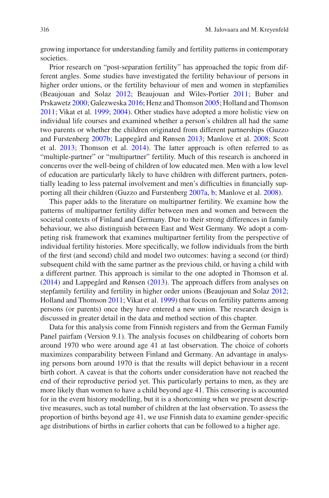growing importance for understanding family and fertility patterns in contemporary societies.

Prior research on "post-separation fertility" has approached the topic from different angles. Some studies have investigated the fertility behaviour of persons in higher order unions, or the fertility behaviour of men and women in stepfamilies (Beaujouan and Solaz [2012;](#page-18-0) Beaujouan and Wiles-Portier [2011;](#page-18-1) Buber and Prskawetz [2000](#page-18-2); Galezweska [2016;](#page-18-3) Henz and Thomson [2005](#page-18-4); Holland and Thomson [2011;](#page-18-5) Vikat et al. [1999;](#page-20-0) [2004\)](#page-20-1). Other studies have adopted a more holistic view on individual life courses and examined whether a person's children all had the same two parents or whether the children originated from different partnerships (Guzzo and Furstenberg [2007b;](#page-18-6) Lappegård and Rønsen [2013;](#page-19-1) Manlove et al. [2008;](#page-19-2) Scott et al. [2013;](#page-19-3) Thomson et al. [2014\)](#page-20-2). The latter approach is often referred to as "multiple-partner" or "multipartner" fertility. Much of this research is anchored in concerns over the well-being of children of low educated men. Men with a low level of education are particularly likely to have children with different partners, potentially leading to less paternal involvement and men's difficulties in financially supporting all their children (Guzzo and Furstenberg [2007a](#page-18-7), [b](#page-18-6); Manlove et al. [2008](#page-19-2)).

This paper adds to the literature on multipartner fertility. We examine how the patterns of multipartner fertility differ between men and women and between the societal contexts of Finland and Germany. Due to their strong differences in family behaviour, we also distinguish between East and West Germany. We adopt a competing risk framework that examines multipartner fertility from the perspective of individual fertility histories. More specifically, we follow individuals from the birth of the first (and second) child and model two outcomes: having a second (or third) subsequent child with the same partner as the previous child, or having a child with a different partner. This approach is similar to the one adopted in Thomson et al. [\(2014](#page-20-2)) and Lappegård and Rønsen [\(2013](#page-19-1)). The approach differs from analyses on stepfamily fertility and fertility in higher order unions (Beaujouan and Solaz [2012;](#page-18-0) Holland and Thomson [2011;](#page-18-5) Vikat et al. [1999\)](#page-20-0) that focus on fertility patterns among persons (or parents) once they have entered a new union. The research design is discussed in greater detail in the data and method section of this chapter.

Data for this analysis come from Finnish registers and from the German Family Panel pairfam (Version 9.1). The analysis focuses on childbearing of cohorts born around 1970 who were around age 41 at last observation. The choice of cohorts maximizes comparability between Finland and Germany. An advantage in analysing persons born around 1970 is that the results will depict behaviour in a recent birth cohort. A caveat is that the cohorts under consideration have not reached the end of their reproductive period yet. This particularly pertains to men, as they are more likely than women to have a child beyond age 41. This censoring is accounted for in the event history modelling, but it is a shortcoming when we present descriptive measures, such as total number of children at the last observation. To assess the proportion of births beyond age 41, we use Finnish data to examine gender-specific age distributions of births in earlier cohorts that can be followed to a higher age.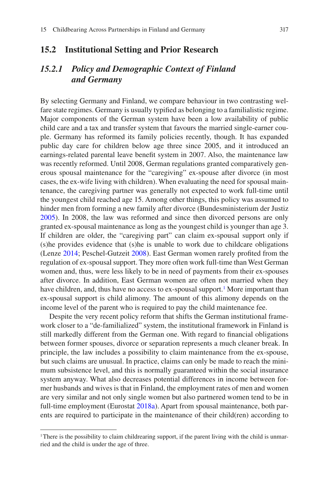## **15.2 Institutional Setting and Prior Research**

# *15.2.1 Policy and Demographic Context of Finland and Germany*

By selecting Germany and Finland, we compare behaviour in two contrasting welfare state regimes. Germany is usually typified as belonging to a familialistic regime. Major components of the German system have been a low availability of public child care and a tax and transfer system that favours the married single-earner couple. Germany has reformed its family policies recently, though. It has expanded public day care for children below age three since 2005, and it introduced an earnings-related parental leave benefit system in 2007. Also, the maintenance law was recently reformed. Until 2008, German regulations granted comparatively generous spousal maintenance for the "caregiving" ex-spouse after divorce (in most cases, the ex-wife living with children). When evaluating the need for spousal maintenance, the caregiving partner was generally not expected to work full-time until the youngest child reached age 15. Among other things, this policy was assumed to hinder men from forming a new family after divorce (Bundesministerium der Justiz [2005\)](#page-18-8). In 2008, the law was reformed and since then divorced persons are only granted ex-spousal maintenance as long as the youngest child is younger than age 3. If children are older, the "caregiving part" can claim ex-spousal support only if (s)he provides evidence that (s)he is unable to work due to childcare obligations (Lenze [2014](#page-19-4); Peschel-Gutzeit [2008\)](#page-19-5). East German women rarely profited from the regulation of ex-spousal support. They more often work full-time than West German women and, thus, were less likely to be in need of payments from their ex-spouses after divorce. In addition, East German women are often not married when they have children, and, thus have no access to ex-spousal support.<sup>1</sup> More important than ex-spousal support is child alimony. The amount of this alimony depends on the income level of the parent who is required to pay the child maintenance fee.

Despite the very recent policy reform that shifts the German institutional framework closer to a "de-familialized" system, the institutional framework in Finland is still markedly different from the German one. With regard to financial obligations between former spouses, divorce or separation represents a much cleaner break. In principle, the law includes a possibility to claim maintenance from the ex-spouse, but such claims are unusual. In practice, claims can only be made to reach the minimum subsistence level, and this is normally guaranteed within the social insurance system anyway. What also decreases potential differences in income between former husbands and wives is that in Finland, the employment rates of men and women are very similar and not only single women but also partnered women tend to be in full-time employment (Eurostat [2018a\)](#page-18-9). Apart from spousal maintenance, both parents are required to participate in the maintenance of their child(ren) according to

<span id="page-2-0"></span><sup>&</sup>lt;sup>1</sup>There is the possibility to claim childrearing support, if the parent living with the child is unmarried and the child is under the age of three.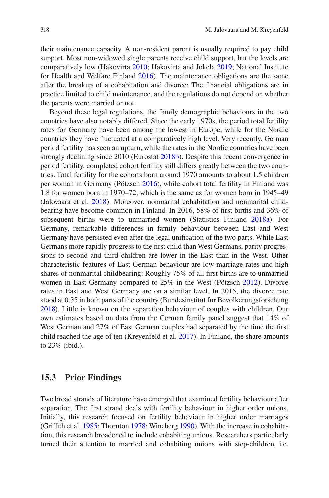their maintenance capacity. A non-resident parent is usually required to pay child support. Most non-widowed single parents receive child support, but the levels are comparatively low (Hakovirta [2010;](#page-18-10) Hakovirta and Jokela [2019](#page-18-11); National Institute for Health and Welfare Finland [2016\)](#page-19-6). The maintenance obligations are the same after the breakup of a cohabitation and divorce: The financial obligations are in practice limited to child maintenance, and the regulations do not depend on whether the parents were married or not.

Beyond these legal regulations, the family demographic behaviours in the two countries have also notably differed. Since the early 1970s, the period total fertility rates for Germany have been among the lowest in Europe, while for the Nordic countries they have fluctuated at a comparatively high level. Very recently, German period fertility has seen an upturn, while the rates in the Nordic countries have been strongly declining since 2010 (Eurostat [2018b](#page-18-12)). Despite this recent convergence in period fertility, completed cohort fertility still differs greatly between the two countries. Total fertility for the cohorts born around 1970 amounts to about 1.5 children per woman in Germany (Pötzsch [2016\)](#page-19-7), while cohort total fertility in Finland was 1.8 for women born in 1970–72, which is the same as for women born in 1945–49 (Jalovaara et al. [2018\)](#page-19-8). Moreover, nonmarital cohabitation and nonmarital childbearing have become common in Finland. In 2016, 58% of first births and 36% of subsequent births were to unmarried women (Statistics Finland [2018a](#page-19-9)). For Germany, remarkable differences in family behaviour between East and West Germany have persisted even after the legal unification of the two parts. While East Germans more rapidly progress to the first child than West Germans, parity progressions to second and third children are lower in the East than in the West. Other characteristic features of East German behaviour are low marriage rates and high shares of nonmarital childbearing: Roughly 75% of all first births are to unmarried women in East Germany compared to 25% in the West (Pötzsch [2012](#page-19-10)). Divorce rates in East and West Germany are on a similar level. In 2015, the divorce rate stood at 0.35 in both parts of the country (Bundesinstitut für Bevölkerungsforschung [2018\)](#page-18-13). Little is known on the separation behaviour of couples with children. Our own estimates based on data from the German family panel suggest that 14% of West German and 27% of East German couples had separated by the time the first child reached the age of ten (Kreyenfeld et al. [2017\)](#page-19-11). In Finland, the share amounts to 23% (ibid.).

# **15.3 Prior Findings**

Two broad strands of literature have emerged that examined fertility behaviour after separation. The first strand deals with fertility behaviour in higher order unions. Initially, this research focused on fertility behaviour in higher order marriages (Griffith et al. [1985](#page-18-14); Thornton [1978](#page-20-3); Wineberg [1990\)](#page-20-4). With the increase in cohabitation, this research broadened to include cohabiting unions. Researchers particularly turned their attention to married and cohabiting unions with step-children, i.e.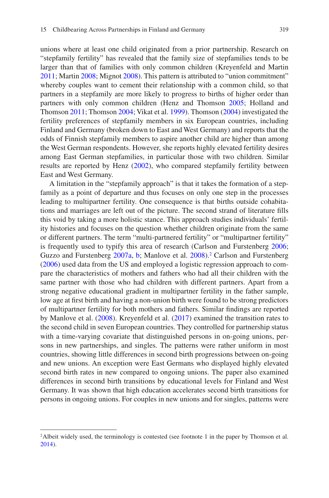unions where at least one child originated from a prior partnership. Research on "stepfamily fertility" has revealed that the family size of stepfamilies tends to be larger than that of families with only common children (Kreyenfeld and Martin [2011;](#page-19-12) Martin [2008](#page-19-13); Mignot [2008\)](#page-19-14). This pattern is attributed to "union commitment" whereby couples want to cement their relationship with a common child, so that partners in a stepfamily are more likely to progress to births of higher order than partners with only common children (Henz and Thomson [2005](#page-18-4); Holland and Thomson [2011;](#page-18-5) Thomson [2004](#page-19-15); Vikat et al. [1999](#page-20-0)). Thomson [\(2004](#page-19-15)) investigated the fertility preferences of stepfamily members in six European countries, including Finland and Germany (broken down to East and West Germany) and reports that the odds of Finnish stepfamily members to aspire another child are higher than among the West German respondents. However, she reports highly elevated fertility desires among East German stepfamilies, in particular those with two children. Similar results are reported by Henz ([2002\)](#page-18-15), who compared stepfamily fertility between East and West Germany.

A limitation in the "stepfamily approach" is that it takes the formation of a stepfamily as a point of departure and thus focuses on only one step in the processes leading to multipartner fertility. One consequence is that births outside cohabitations and marriages are left out of the picture. The second strand of literature fills this void by taking a more holistic stance. This approach studies individuals' fertility histories and focuses on the question whether children originate from the same or different partners. The term "multi-partnered fertility" or "multipartner fertility" is frequently used to typify this area of research (Carlson and Furstenberg [2006;](#page-18-16) Guzzo and Furstenberg [2007a,](#page-18-7) [b;](#page-18-6) Manlove et al. [2008](#page-19-2)).<sup>[2](#page-4-0)</sup> Carlson and Furstenberg [\(2006](#page-18-16)) used data from the US and employed a logistic regression approach to compare the characteristics of mothers and fathers who had all their children with the same partner with those who had children with different partners. Apart from a strong negative educational gradient in multipartner fertility in the father sample, low age at first birth and having a non-union birth were found to be strong predictors of multipartner fertility for both mothers and fathers. Similar findings are reported by Manlove et al. ([2008\)](#page-19-2). Kreyenfeld et al. ([2017\)](#page-19-11) examined the transition rates to the second child in seven European countries. They controlled for partnership status with a time-varying covariate that distinguished persons in on-going unions, persons in new partnerships, and singles. The patterns were rather uniform in most countries, showing little differences in second birth progressions between on-going and new unions. An exception were East Germans who displayed highly elevated second birth rates in new compared to ongoing unions. The paper also examined differences in second birth transitions by educational levels for Finland and West Germany. It was shown that high education accelerates second birth transitions for persons in ongoing unions. For couples in new unions and for singles, patterns were

<span id="page-4-0"></span><sup>&</sup>lt;sup>2</sup>Albeit widely used, the terminology is contested (see footnote 1 in the paper by Thomson et al. [2014\)](#page-20-2).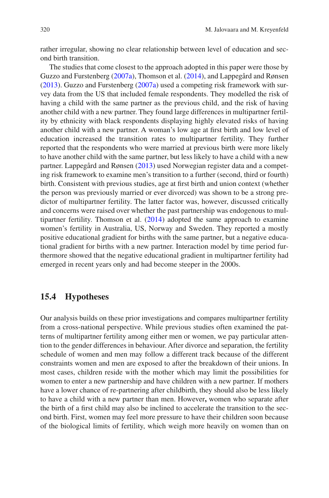rather irregular, showing no clear relationship between level of education and second birth transition.

The studies that come closest to the approach adopted in this paper were those by Guzzo and Furstenberg [\(2007a\)](#page-18-7), Thomson et al. [\(2014](#page-20-2)), and Lappegård and Rønsen [\(2013](#page-19-1)). Guzzo and Furstenberg [\(2007a\)](#page-18-7) used a competing risk framework with survey data from the US that included female respondents. They modelled the risk of having a child with the same partner as the previous child, and the risk of having another child with a new partner. They found large differences in multipartner fertility by ethnicity with black respondents displaying highly elevated risks of having another child with a new partner. A woman's low age at first birth and low level of education increased the transition rates to multipartner fertility. They further reported that the respondents who were married at previous birth were more likely to have another child with the same partner, but less likely to have a child with a new partner. Lappegård and Rønsen [\(2013](#page-19-1)) used Norwegian register data and a competing risk framework to examine men's transition to a further (second, third or fourth) birth. Consistent with previous studies, age at first birth and union context (whether the person was previously married or ever divorced) was shown to be a strong predictor of multipartner fertility. The latter factor was, however, discussed critically and concerns were raised over whether the past partnership was endogenous to multipartner fertility. Thomson et al. ([2014\)](#page-20-2) adopted the same approach to examine women's fertility in Australia, US, Norway and Sweden. They reported a mostly positive educational gradient for births with the same partner, but a negative educational gradient for births with a new partner. Interaction model by time period furthermore showed that the negative educational gradient in multipartner fertility had emerged in recent years only and had become steeper in the 2000s.

# **15.4 Hypotheses**

Our analysis builds on these prior investigations and compares multipartner fertility from a cross-national perspective. While previous studies often examined the patterns of multipartner fertility among either men or women, we pay particular attention to the gender differences in behaviour. After divorce and separation, the fertility schedule of women and men may follow a different track because of the different constraints women and men are exposed to after the breakdown of their unions. In most cases, children reside with the mother which may limit the possibilities for women to enter a new partnership and have children with a new partner. If mothers have a lower chance of re-partnering after childbirth, they should also be less likely to have a child with a new partner than men. However**,** women who separate after the birth of a first child may also be inclined to accelerate the transition to the second birth. First, women may feel more pressure to have their children soon because of the biological limits of fertility, which weigh more heavily on women than on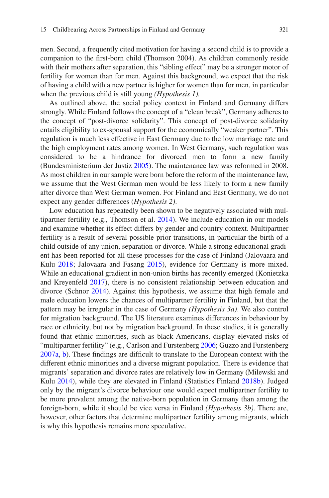men. Second, a frequently cited motivation for having a second child is to provide a companion to the first-born child (Thomson 2004). As children commonly reside with their mothers after separation, this "sibling effect" may be a stronger motor of fertility for women than for men. Against this background, we expect that the risk of having a child with a new partner is higher for women than for men, in particular when the previous child is still young *(Hypothesis 1).*

As outlined above, the social policy context in Finland and Germany differs strongly. While Finland follows the concept of a "clean break", Germany adheres to the concept of "post-divorce solidarity". This concept of post-divorce solidarity entails eligibility to ex-spousal support for the economically "weaker partner". This regulation is much less effective in East Germany due to the low marriage rate and the high employment rates among women. In West Germany, such regulation was considered to be a hindrance for divorced men to form a new family (Bundesministerium der Justiz [2005\)](#page-18-8). The maintenance law was reformed in 2008. As most children in our sample were born before the reform of the maintenance law, we assume that the West German men would be less likely to form a new family after divorce than West German women. For Finland and East Germany, we do not expect any gender differences (*Hypothesis 2)*.

Low education has repeatedly been shown to be negatively associated with multipartner fertility (e.g., Thomson et al. [2014\)](#page-20-2). We include education in our models and examine whether its effect differs by gender and country context. Multipartner fertility is a result of several possible prior transitions, in particular the birth of a child outside of any union, separation or divorce. While a strong educational gradient has been reported for all these processes for the case of Finland (Jalovaara and Kulu [2018;](#page-19-16) Jalovaara and Fasang [2015\)](#page-19-17), evidence for Germany is more mixed. While an educational gradient in non-union births has recently emerged (Konietzka and Kreyenfeld [2017](#page-19-18)), there is no consistent relationship between education and divorce (Schnor [2014](#page-19-19)). Against this hypothesis, we assume that high female and male education lowers the chances of multipartner fertility in Finland, but that the pattern may be irregular in the case of Germany *(Hypothesis 3a)*. We also control for migration background. The US literature examines differences in behaviour by race or ethnicity, but not by migration background. In these studies, it is generally found that ethnic minorities, such as black Americans, display elevated risks of "multipartner fertility" (e.g., Carlson and Furstenberg [2006](#page-18-16); Guzzo and Furstenberg [2007a](#page-18-7), [b](#page-18-6)). These findings are difficult to translate to the European context with the different ethnic minorities and a diverse migrant population. There is evidence that migrants' separation and divorce rates are relatively low in Germany (Milewski and Kulu [2014\)](#page-19-20), while they are elevated in Finland (Statistics Finland [2018b](#page-19-21)). Judged only by the migrant's divorce behaviour one would expect multipartner fertility to be more prevalent among the native-born population in Germany than among the foreign-born, while it should be vice versa in Finland *(Hypothesis 3b)*. There are, however, other factors that determine multipartner fertility among migrants, which is why this hypothesis remains more speculative.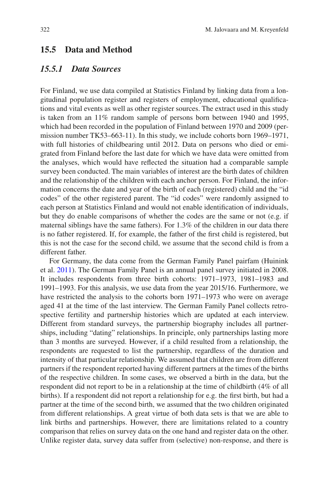#### **15.5 Data and Method**

#### *15.5.1 Data Sources*

For Finland, we use data compiled at Statistics Finland by linking data from a longitudinal population register and registers of employment, educational qualifications and vital events as well as other register sources. The extract used in this study is taken from an 11% random sample of persons born between 1940 and 1995, which had been recorded in the population of Finland between 1970 and 2009 (permission number TK53–663-11). In this study, we include cohorts born 1969–1971, with full histories of childbearing until 2012. Data on persons who died or emigrated from Finland before the last date for which we have data were omitted from the analyses, which would have reflected the situation had a comparable sample survey been conducted. The main variables of interest are the birth dates of children and the relationship of the children with each anchor person. For Finland, the information concerns the date and year of the birth of each (registered) child and the "id codes" of the other registered parent. The "id codes" were randomly assigned to each person at Statistics Finland and would not enable identification of individuals, but they do enable comparisons of whether the codes are the same or not (e.g. if maternal siblings have the same fathers). For 1.3% of the children in our data there is no father registered. If, for example, the father of the first child is registered, but this is not the case for the second child, we assume that the second child is from a different father.

For Germany, the data come from the German Family Panel pairfam (Huinink et al. [2011](#page-18-17)). The German Family Panel is an annual panel survey initiated in 2008. It includes respondents from three birth cohorts: 1971–1973, 1981–1983 and 1991–1993. For this analysis, we use data from the year 2015/16. Furthermore, we have restricted the analysis to the cohorts born 1971–1973 who were on average aged 41 at the time of the last interview. The German Family Panel collects retrospective fertility and partnership histories which are updated at each interview. Different from standard surveys, the partnership biography includes all partnerships, including "dating" relationships. In principle, only partnerships lasting more than 3 months are surveyed. However, if a child resulted from a relationship, the respondents are requested to list the partnership, regardless of the duration and intensity of that particular relationship. We assumed that children are from different partners if the respondent reported having different partners at the times of the births of the respective children. In some cases, we observed a birth in the data, but the respondent did not report to be in a relationship at the time of childbirth (4% of all births). If a respondent did not report a relationship for e.g. the first birth, but had a partner at the time of the second birth, we assumed that the two children originated from different relationships. A great virtue of both data sets is that we are able to link births and partnerships. However, there are limitations related to a country comparison that relies on survey data on the one hand and register data on the other. Unlike register data, survey data suffer from (selective) non-response, and there is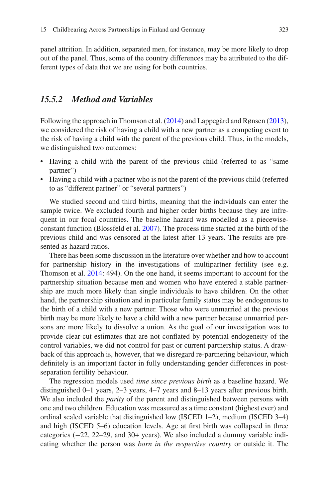panel attrition. In addition, separated men, for instance, may be more likely to drop out of the panel. Thus, some of the country differences may be attributed to the different types of data that we are using for both countries.

### *15.5.2 Method and Variables*

Following the approach in Thomson et al. [\(2014](#page-20-2)) and Lappegård and Rønsen ([2013\)](#page-19-1), we considered the risk of having a child with a new partner as a competing event to the risk of having a child with the parent of the previous child. Thus, in the models, we distinguished two outcomes:

- Having a child with the parent of the previous child (referred to as "same partner")
- Having a child with a partner who is not the parent of the previous child (referred to as "different partner" or "several partners")

We studied second and third births, meaning that the individuals can enter the sample twice. We excluded fourth and higher order births because they are infrequent in our focal countries. The baseline hazard was modelled as a piecewiseconstant function (Blossfeld et al. [2007](#page-18-18)). The process time started at the birth of the previous child and was censored at the latest after 13 years. The results are presented as hazard ratios.

There has been some discussion in the literature over whether and how to account for partnership history in the investigations of multipartner fertility (see e.g. Thomson et al. [2014:](#page-20-2) 494). On the one hand, it seems important to account for the partnership situation because men and women who have entered a stable partnership are much more likely than single individuals to have children. On the other hand, the partnership situation and in particular family status may be endogenous to the birth of a child with a new partner. Those who were unmarried at the previous birth may be more likely to have a child with a new partner because unmarried persons are more likely to dissolve a union. As the goal of our investigation was to provide clear-cut estimates that are not conflated by potential endogeneity of the control variables, we did not control for past or current partnership status. A drawback of this approach is, however, that we disregard re-partnering behaviour, which definitely is an important factor in fully understanding gender differences in postseparation fertility behaviour.

The regression models used *time since previous birth* as a baseline hazard. We distinguished 0–1 years, 2–3 years, 4–7 years and 8–13 years after previous birth. We also included the *parity* of the parent and distinguished between persons with one and two children. Education was measured as a time constant (highest ever) and ordinal scaled variable that distinguished low (ISCED 1–2), medium (ISCED 3–4) and high (ISCED 5–6) education levels. Age at first birth was collapsed in three categories (−22, 22–29, and 30+ years). We also included a dummy variable indicating whether the person was *born in the respective country* or outside it. The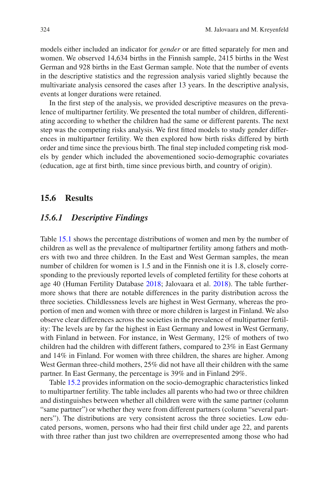models either included an indicator for *gender* or are fitted separately for men and women. We observed 14,634 births in the Finnish sample, 2415 births in the West German and 928 births in the East German sample. Note that the number of events in the descriptive statistics and the regression analysis varied slightly because the multivariate analysis censored the cases after 13 years. In the descriptive analysis, events at longer durations were retained.

In the first step of the analysis, we provided descriptive measures on the prevalence of multipartner fertility. We presented the total number of children, differentiating according to whether the children had the same or different parents. The next step was the competing risks analysis. We first fitted models to study gender differences in multipartner fertility. We then explored how birth risks differed by birth order and time since the previous birth. The final step included competing risk models by gender which included the abovementioned socio-demographic covariates (education, age at first birth, time since previous birth, and country of origin).

# **15.6 Results**

## *15.6.1 Descriptive Findings*

Table [15.1](#page-10-0) shows the percentage distributions of women and men by the number of children as well as the prevalence of multipartner fertility among fathers and mothers with two and three children. In the East and West German samples, the mean number of children for women is 1.5 and in the Finnish one it is 1.8, closely corresponding to the previously reported levels of completed fertility for these cohorts at age 40 (Human Fertility Database [2018](#page-18-19); Jalovaara et al. [2018](#page-19-8)). The table furthermore shows that there are notable differences in the parity distribution across the three societies. Childlessness levels are highest in West Germany, whereas the proportion of men and women with three or more children is largest in Finland. We also observe clear differences across the societies in the prevalence of multipartner fertility: The levels are by far the highest in East Germany and lowest in West Germany, with Finland in between. For instance, in West Germany, 12% of mothers of two children had the children with different fathers, compared to 23% in East Germany and 14% in Finland. For women with three children, the shares are higher. Among West German three-child mothers, 25% did not have all their children with the same partner. In East Germany, the percentage is 39% and in Finland 29%.

Table [15.2](#page-11-0) provides information on the socio-demographic characteristics linked to multipartner fertility. The table includes all parents who had two or three children and distinguishes between whether all children were with the same partner (column "same partner") or whether they were from different partners (column "several partners"). The distributions are very consistent across the three societies. Low educated persons, women, persons who had their first child under age 22, and parents with three rather than just two children are overrepresented among those who had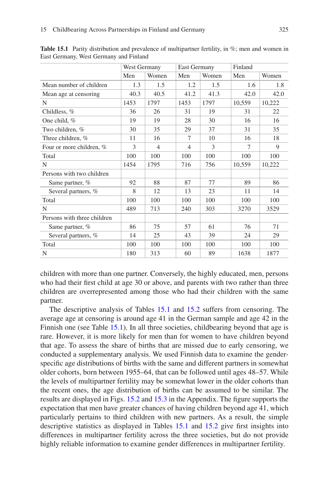|                             | West Germany |                | <b>East Germany</b> |       | Finland |        |
|-----------------------------|--------------|----------------|---------------------|-------|---------|--------|
|                             | Men          | Women          | Men                 | Women | Men     | Women  |
| Mean number of children     | 1.3          | 1.5            | 1.2                 | 1.5   | 1.6     | 1.8    |
| Mean age at censoring       | 40.3         | 40.5           | 41.2                | 41.3  | 42.0    | 42.0   |
| N                           | 1453         | 1797           | 1453                | 1797  | 10,559  | 10,222 |
| Childless, %                | 36           | 26             | 31                  | 19    | 31      | 22     |
| One child, %                | 19           | 19             | 28                  | 30    | 16      | 16     |
| Two children, %             | 30           | 35             | 29                  | 37    | 31      | 35     |
| Three children, %           | 11           | 16             | 7                   | 10    | 16      | 18     |
| Four or more children, %    | 3            | $\overline{4}$ | 4                   | 3     | 7       | 9      |
| Total                       | 100          | 100            | 100                 | 100   | 100     | 100    |
| N                           | 1454         | 1795           | 716                 | 756   | 10,559  | 10,222 |
| Persons with two children   |              |                |                     |       |         |        |
| Same partner, %             | 92           | 88             | 87                  | 77    | 89      | 86     |
| Several partners, %         | 8            | 12             | 13                  | 23    | 11      | 14     |
| Total                       | 100          | 100            | 100                 | 100   | 100     | 100    |
| N                           | 489          | 713            | 240                 | 303   | 3270    | 3529   |
| Persons with three children |              |                |                     |       |         |        |
| Same partner, %             | 86           | 75             | 57                  | 61    | 76      | 71     |
| Several partners, %         | 14           | 25             | 43                  | 39    | 24      | 29     |
| Total                       | 100          | 100            | 100                 | 100   | 100     | 100    |
| N                           | 180          | 313            | 60                  | 89    | 1638    | 1877   |

<span id="page-10-0"></span>**Table 15.1** Parity distribution and prevalence of multipartner fertility, in %; men and women in East Germany, West Germany and Finland

children with more than one partner. Conversely, the highly educated, men, persons who had their first child at age 30 or above, and parents with two rather than three children are overrepresented among those who had their children with the same partner.

The descriptive analysis of Tables [15.1](#page-10-0) and [15.2](#page-11-0) suffers from censoring. The average age at censoring is around age 41 in the German sample and age 42 in the Finnish one (see Table [15.1\)](#page-10-0). In all three societies, childbearing beyond that age is rare. However, it is more likely for men than for women to have children beyond that age. To assess the share of births that are missed due to early censoring, we conducted a supplementary analysis. We used Finnish data to examine the genderspecific age distributions of births with the same and different partners in somewhat older cohorts, born between 1955–64, that can be followed until ages 48–57. While the levels of multipartner fertility may be somewhat lower in the older cohorts than the recent ones, the age distribution of births can be assumed to be similar. The results are displayed in Figs. [15.2](#page-17-0) and [15.3](#page-17-1) in the Appendix. The figure supports the expectation that men have greater chances of having children beyond age 41, which particularly pertains to third children with new partners. As a result, the simple descriptive statistics as displayed in Tables [15.1](#page-10-0) and [15.2](#page-11-0) give first insights into differences in multipartner fertility across the three societies, but do not provide highly reliable information to examine gender differences in multipartner fertility.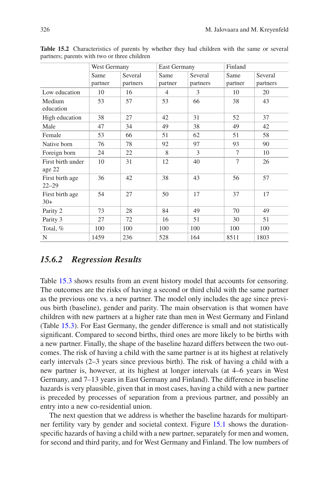|                              | West Germany    |                     | <b>East Germany</b> |                     | Finland         |                     |  |
|------------------------------|-----------------|---------------------|---------------------|---------------------|-----------------|---------------------|--|
|                              | Same<br>partner | Several<br>partners | Same<br>partner     | Several<br>partners | Same<br>partner | Several<br>partners |  |
| Low education                | 10              | 16                  | $\overline{4}$      | 3                   | 10              | 20                  |  |
| Medium<br>education          | 53              | 57                  | 53                  | 66                  | 38              | 43                  |  |
| High education               | 38              | 27                  | 42                  | 31                  | 52              | 37                  |  |
| Male                         | 47              | 34                  | 49                  | 38                  | 49              | 42                  |  |
| Female                       | 53              | 66                  | 51                  | 62                  | 51              | 58                  |  |
| Native born                  | 76              | 78                  | 92                  | 97                  | 93              | 90                  |  |
| Foreign born                 | 24              | 22                  | 8                   | 3                   | 7               | 10                  |  |
| First birth under<br>age 22  | 10              | 31                  | 12                  | 40                  | 7               | 26                  |  |
| First birth age<br>$22 - 29$ | 36              | 42                  | 38                  | 43                  | 56              | 57                  |  |
| First birth age<br>$30+$     | 54              | 27                  | 50                  | 17                  | 37              | 17                  |  |
| Parity 2                     | 73              | 28                  | 84                  | 49                  | 70              | 49                  |  |
| Parity 3                     | 27              | 72                  | 16                  | 51                  | 30              | 51                  |  |
| Total, %                     | 100             | 100                 | 100                 | 100                 | 100             | 100                 |  |
| N                            | 1459            | 236                 | 528                 | 164                 | 8511            | 1803                |  |

<span id="page-11-0"></span>**Table 15.2** Characteristics of parents by whether they had children with the same or several partners; parents with two or three children

# *15.6.2 Regression Results*

Table [15.3](#page-12-0) shows results from an event history model that accounts for censoring. The outcomes are the risks of having a second or third child with the same partner as the previous one vs. a new partner. The model only includes the age since previous birth (baseline), gender and parity. The main observation is that women have children with new partners at a higher rate than men in West Germany and Finland (Table [15.3](#page-12-0)). For East Germany, the gender difference is small and not statistically significant. Compared to second births, third ones are more likely to be births with a new partner. Finally, the shape of the baseline hazard differs between the two outcomes. The risk of having a child with the same partner is at its highest at relatively early intervals (2–3 years since previous birth). The risk of having a child with a new partner is, however, at its highest at longer intervals (at 4–6 years in West Germany, and 7–13 years in East Germany and Finland). The difference in baseline hazards is very plausible, given that in most cases, having a child with a new partner is preceded by processes of separation from a previous partner, and possibly an entry into a new co-residential union.

The next question that we address is whether the baseline hazards for multipartner fertility vary by gender and societal context. Figure [15.1](#page-13-0) shows the durationspecific hazards of having a child with a new partner, separately for men and women, for second and third parity, and for West Germany and Finland. The low numbers of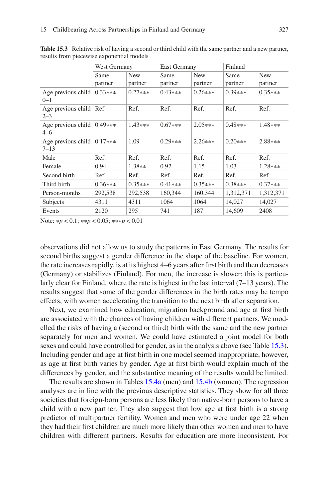|                                            | West Germany    |                       | East Germany    |                       | Finland         |                       |
|--------------------------------------------|-----------------|-----------------------|-----------------|-----------------------|-----------------|-----------------------|
|                                            | Same<br>partner | <b>New</b><br>partner | Same<br>partner | <b>New</b><br>partner | Same<br>partner | <b>New</b><br>partner |
| Age previous child<br>$0 - 1$              | $0.33***$       | $0.27***$             | $0.43***$       | $0.26***$             | $0.39***$       | $0.35***$             |
| Age previous child Ref.<br>$2 - 3$         |                 | Ref.                  | Ref.            | Ref.                  | Ref.            | Ref.                  |
| Age previous child<br>$4 - 6$              | $0.49***$       | $1.43***$             | $0.67***$       | $2.05***$             | $0.48***$       | $1.48***$             |
| Age previous child $ 0.17*** $<br>$7 - 13$ |                 | 1.09                  | $0.29***$       | $2.26***$             | $0.20***$       | $2.88***$             |
| Male                                       | Ref.            | Ref.                  | Ref.            | Ref.                  | Ref.            | Ref.                  |
| Female                                     | 0.94            | $1.38**$              | 0.92            | 1.15                  | 1.03            | $1.28***$             |
| Second birth                               | Ref.            | Ref.                  | Ref.            | Ref.                  | Ref.            | Ref.                  |
| Third birth                                | $0.36***$       | $0.35***$             | $0.41***$       | $0.35***$             | $0.38***$       | $0.37***$             |
| Person-months                              | 292,538         | 292,538               | 160,344         | 160,344               | 1,312,371       | 1,312,371             |
| Subjects                                   | 4311            | 4311                  | 1064            | 1064                  | 14,027          | 14,027                |
| Events                                     | 2120            | 295                   | 741             | 187                   | 14,609          | 2408                  |

<span id="page-12-0"></span>**Table 15.3** Relative risk of having a second or third child with the same partner and a new partner, results from piecewise exponential models

Note: ∗*p* < 0.1; ∗∗*p* < 0.05; ∗∗∗*p* < 0.01

observations did not allow us to study the patterns in East Germany. The results for second births suggest a gender difference in the shape of the baseline. For women, the rate increases rapidly, is at its highest 4–6 years after first birth and then decreases (Germany) or stabilizes (Finland). For men, the increase is slower; this is particularly clear for Finland, where the rate is highest in the last interval (7–13 years). The results suggest that some of the gender differences in the birth rates may be tempo effects, with women accelerating the transition to the next birth after separation.

Next, we examined how education, migration background and age at first birth are associated with the chances of having children with different partners. We modelled the risks of having a (second or third) birth with the same and the new partner separately for men and women. We could have estimated a joint model for both sexes and could have controlled for gender, as in the analysis above (see Table [15.3\)](#page-12-0). Including gender and age at first birth in one model seemed inappropriate, however, as age at first birth varies by gender. Age at first birth would explain much of the differences by gender, and the substantive meaning of the results would be limited.

The results are shown in Tables [15.4a](#page-14-0) (men) and [15.4b](#page-15-0) (women). The regression analyses are in line with the previous descriptive statistics. They show for all three societies that foreign-born persons are less likely than native-born persons to have a child with a new partner. They also suggest that low age at first birth is a strong predictor of multipartner fertility. Women and men who were under age 22 when they had their first children are much more likely than other women and men to have children with different partners. Results for education are more inconsistent. For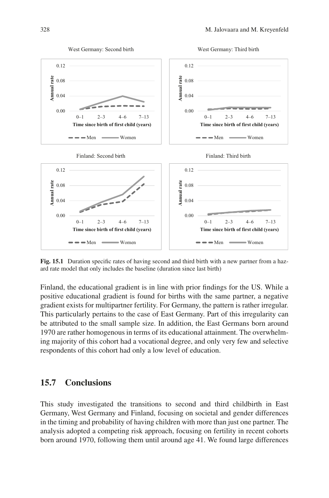<span id="page-13-0"></span>

West Germany: Second birth West Germany: Third birth



**Fig. 15.1** Duration specific rates of having second and third birth with a new partner from a hazard rate model that only includes the baseline (duration since last birth)

Finland, the educational gradient is in line with prior findings for the US. While a positive educational gradient is found for births with the same partner, a negative gradient exists for multipartner fertility. For Germany, the pattern is rather irregular. This particularly pertains to the case of East Germany. Part of this irregularity can be attributed to the small sample size. In addition, the East Germans born around 1970 are rather homogenous in terms of its educational attainment. The overwhelming majority of this cohort had a vocational degree, and only very few and selective respondents of this cohort had only a low level of education.

## **15.7 Conclusions**

This study investigated the transitions to second and third childbirth in East Germany, West Germany and Finland, focusing on societal and gender differences in the timing and probability of having children with more than just one partner. The analysis adopted a competing risk approach, focusing on fertility in recent cohorts born around 1970, following them until around age 41. We found large differences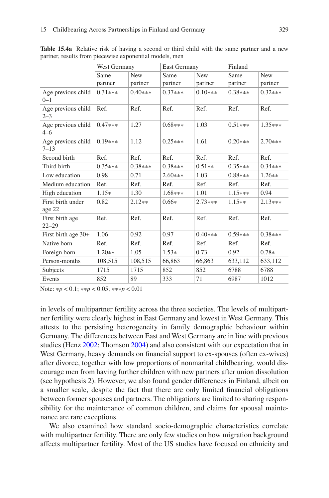|                                | West Germany    |                       | <b>East Germany</b> |                       | Finland         |                       |
|--------------------------------|-----------------|-----------------------|---------------------|-----------------------|-----------------|-----------------------|
|                                | Same<br>partner | <b>New</b><br>partner | Same<br>partner     | <b>New</b><br>partner | Same<br>partner | <b>New</b><br>partner |
| Age previous child<br>$0 - 1$  | $0.31***$       | $0.40***$             | $0.37***$           | $0.10***$             | $0.38***$       | $0.32***$             |
| Age previous child<br>$2 - 3$  | Ref.            | Ref.                  | Ref.                | Ref.                  | Ref.            | Ref.                  |
| Age previous child<br>$4 - 6$  | $0.47***$       | 1.27                  | $0.68***$           | 1.03                  | $0.51***$       | $1.35***$             |
| Age previous child<br>$7 - 13$ | $0.19***$       | 1.12                  | $0.25***$           | 1.61                  | $0.20***$       | $2.70***$             |
| Second birth                   | Ref.            | Ref.                  | Ref.                | Ref.                  | Ref.            | Ref.                  |
| Third birth                    | $0.35***$       | $0.38***$             | $0.38***$           | $0.51**$              | $0.35***$       | $0.34***$             |
| Low education                  | 0.98            | 0.71                  | $2.60***$           | 1.03                  | $0.88***$       | $1.26**$              |
| Medium education               | Ref.            | Ref.                  | Ref.                | Ref.                  | Ref.            | Ref.                  |
| High education                 | $1.15*$         | 1.30                  | $1.68***$           | 1.01                  | $1.15***$       | 0.94                  |
| First birth under<br>age 22    | 0.82            | $2.12**$              | $0.66*$             | $2.73***$             | $1.15**$        | $2.13***$             |
| First birth age<br>$22 - 29$   | Ref.            | Ref.                  | Ref.                | Ref.                  | Ref.            | Ref.                  |
| First birth age $30+$          | 1.06            | 0.92                  | 0.97                | $0.40***$             | $0.59***$       | $0.38***$             |
| Native born                    | Ref.            | Ref.                  | Ref.                | Ref.                  | Ref.            | Ref.                  |
| Foreign born                   | $1.20**$        | 1.05                  | $1.53*$             | 0.73                  | 0.92            | $0.78*$               |
| Person-months                  | 108,515         | 108,515               | 66,863              | 66,863                | 633,112         | 633,112               |
| Subjects                       | 1715            | 1715                  | 852                 | 852                   | 6788            | 6788                  |
| Events                         | 852             | 89                    | 333                 | 71                    | 6987            | 1012                  |

<span id="page-14-0"></span>**Table 15.4a** Relative risk of having a second or third child with the same partner and a new partner, results from piecewise exponential models, men

Note: ∗*p* < 0.1; ∗∗*p* < 0.05; ∗∗∗*p* < 0.01

in levels of multipartner fertility across the three societies. The levels of multipartner fertility were clearly highest in East Germany and lowest in West Germany. This attests to the persisting heterogeneity in family demographic behaviour within Germany. The differences between East and West Germany are in line with previous studies (Henz [2002](#page-18-15); Thomson [2004\)](#page-19-15) and also consistent with our expectation that in West Germany, heavy demands on financial support to ex-spouses (often ex-wives) after divorce, together with low proportions of nonmarital childbearing, would discourage men from having further children with new partners after union dissolution (see hypothesis 2). However, we also found gender differences in Finland, albeit on a smaller scale, despite the fact that there are only limited financial obligations between former spouses and partners. The obligations are limited to sharing responsibility for the maintenance of common children, and claims for spousal maintenance are rare exceptions.

We also examined how standard socio-demographic characteristics correlate with multipartner fertility. There are only few studies on how migration background affects multipartner fertility. Most of the US studies have focused on ethnicity and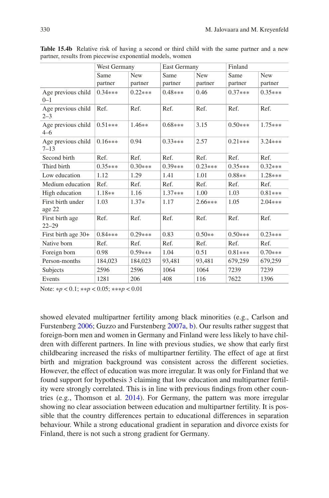|                                | West Germany    |                       | <b>East Germany</b> |                       | Finland         |                       |
|--------------------------------|-----------------|-----------------------|---------------------|-----------------------|-----------------|-----------------------|
|                                | Same<br>partner | <b>New</b><br>partner | Same<br>partner     | <b>New</b><br>partner | Same<br>partner | <b>New</b><br>partner |
| Age previous child<br>$0 - 1$  | $0.34***$       | $0.22***$             | $0.48***$           | 0.46                  | $0.37***$       | $0.35***$             |
| Age previous child<br>$2 - 3$  | Ref.            | Ref.                  | Ref.                | Ref.                  | Ref.            | Ref.                  |
| Age previous child<br>$4 - 6$  | $0.51***$       | $1.46**$              | $0.68***$           | 3.15                  | $0.50***$       | $1.75***$             |
| Age previous child<br>$7 - 13$ | $0.16***$       | 0.94                  | $0.33***$           | 2.57                  | $0.21***$       | $3.24***$             |
| Second birth                   | Ref.            | Ref.                  | Ref.                | Ref.                  | Ref.            | Ref.                  |
| Third birth                    | $0.35***$       | $0.30***$             | $0.39***$           | $0.23***$             | $0.35***$       | $0.32***$             |
| Low education                  | 1.12            | 1.29                  | 1.41                | 1.01                  | $0.88**$        | $1.28***$             |
| Medium education               | Ref.            | Ref.                  | Ref.                | Ref.                  | Ref.            | Ref.                  |
| High education                 | 1.18**          | 1.16                  | $1.37***$           | 1.00                  | 1.03            | $0.81***$             |
| First birth under<br>age 22    | 1.03            | $1.37*$               | 1.17                | 2.66***               | 1.05            | $2.04***$             |
| First birth age<br>$22 - 29$   | Ref.            | Ref.                  | Ref.                | Ref.                  | Ref.            | Ref.                  |
| First birth age $30+$          | $0.84***$       | $0.29***$             | 0.83                | $0.50**$              | $0.50***$       | $0.23***$             |
| Native born                    | Ref.            | Ref.                  | Ref.                | Ref.                  | Ref.            | Ref.                  |
| Foreign born                   | 0.98            | $0.59***$             | 1.04                | 0.51                  | $0.81***$       | $0.70***$             |
| Person-months                  | 184,023         | 184,023               | 93,481              | 93,481                | 679,259         | 679,259               |
| Subjects                       | 2596            | 2596                  | 1064                | 1064                  | 7239            | 7239                  |
| Events                         | 1281            | 206                   | 408                 | 116                   | 7622            | 1396                  |

<span id="page-15-0"></span>**Table 15.4b** Relative risk of having a second or third child with the same partner and a new partner, results from piecewise exponential models, women

Note: ∗*p* < 0.1; ∗∗*p* < 0.05; ∗∗∗*p* < 0.01

showed elevated multipartner fertility among black minorities (e.g., Carlson and Furstenberg [2006;](#page-18-16) Guzzo and Furstenberg [2007a](#page-18-7), [b](#page-18-6)). Our results rather suggest that foreign-born men and women in Germany and Finland were less likely to have children with different partners. In line with previous studies, we show that early first childbearing increased the risks of multipartner fertility. The effect of age at first birth and migration background was consistent across the different societies. However, the effect of education was more irregular. It was only for Finland that we found support for hypothesis 3 claiming that low education and multipartner fertility were strongly correlated. This is in line with previous findings from other countries (e.g., Thomson et al. [2014](#page-20-2)). For Germany, the pattern was more irregular showing no clear association between education and multipartner fertility. It is possible that the country differences pertain to educational differences in separation behaviour. While a strong educational gradient in separation and divorce exists for Finland, there is not such a strong gradient for Germany.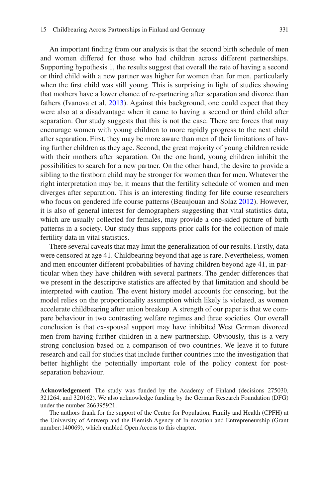An important finding from our analysis is that the second birth schedule of men and women differed for those who had children across different partnerships. Supporting hypothesis 1, the results suggest that overall the rate of having a second or third child with a new partner was higher for women than for men, particularly when the first child was still young. This is surprising in light of studies showing that mothers have a lower chance of re-partnering after separation and divorce than fathers (Ivanova et al. [2013](#page-19-22)). Against this background, one could expect that they were also at a disadvantage when it came to having a second or third child after separation. Our study suggests that this is not the case. There are forces that may encourage women with young children to more rapidly progress to the next child after separation. First, they may be more aware than men of their limitations of having further children as they age. Second, the great majority of young children reside with their mothers after separation. On the one hand, young children inhibit the possibilities to search for a new partner. On the other hand, the desire to provide a sibling to the firstborn child may be stronger for women than for men. Whatever the right interpretation may be, it means that the fertility schedule of women and men diverges after separation. This is an interesting finding for life course researchers who focus on gendered life course patterns (Beaujouan and Solaz [2012](#page-18-0)). However, it is also of general interest for demographers suggesting that vital statistics data, which are usually collected for females, may provide a one-sided picture of birth patterns in a society. Our study thus supports prior calls for the collection of male fertility data in vital statistics.

There several caveats that may limit the generalization of our results. Firstly, data were censored at age 41. Childbearing beyond that age is rare. Nevertheless, women and men encounter different probabilities of having children beyond age 41, in particular when they have children with several partners. The gender differences that we present in the descriptive statistics are affected by that limitation and should be interpreted with caution. The event history model accounts for censoring, but the model relies on the proportionality assumption which likely is violated, as women accelerate childbearing after union breakup. A strength of our paper is that we compare behaviour in two contrasting welfare regimes and three societies. Our overall conclusion is that ex-spousal support may have inhibited West German divorced men from having further children in a new partnership. Obviously, this is a very strong conclusion based on a comparison of two countries. We leave it to future research and call for studies that include further countries into the investigation that better highlight the potentially important role of the policy context for postseparation behaviour.

**Acknowledgement** The study was funded by the Academy of Finland (decisions 275030, 321264, and 320162). We also acknowledge funding by the German Research Foundation (DFG) under the number 266395921.

The authors thank for the support of the Centre for Population, Family and Health (CPFH) at the University of Antwerp and the Flemish Agency of In-novation and Entrepreneurship (Grant number:140069), which enabled Open Access to this chapter.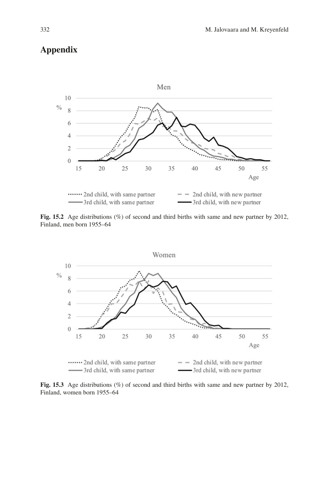

<span id="page-17-0"></span>

**Fig. 15.2** Age distributions (%) of second and third births with same and new partner by 2012, Finland, men born 1955–64

<span id="page-17-1"></span>

**Fig. 15.3** Age distributions (%) of second and third births with same and new partner by 2012, Finland, women born 1955–64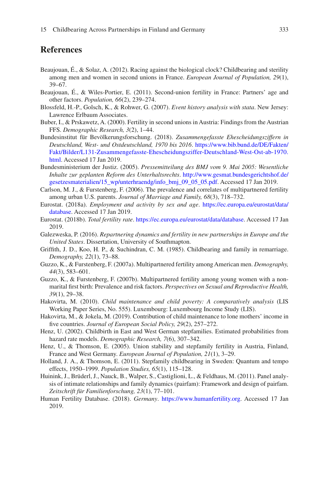# **References**

- <span id="page-18-0"></span>Beaujouan, É., & Solaz, A. (2012). Racing against the biological clock? Childbearing and sterility among men and women in second unions in France. *European Journal of Population, 29*(1), 39–67.
- <span id="page-18-1"></span>Beaujouan, É., & Wiles-Portier, E. (2011). Second-union fertility in France: Partners' age and other factors. *Population, 66*(2), 239–274.
- <span id="page-18-18"></span>Blossfeld, H.-P., Golsch, K., & Rohwer, G. (2007). *Event history analysis with stata*. New Jersey: Lawrence Erlbaum Associates.
- <span id="page-18-2"></span>Buber, I., & Prskawetz, A. (2000). Fertility in second unions in Austria: Findings from the Austrian FFS. *Demographic Research, 3*(2), 1–44.
- <span id="page-18-13"></span>Bundesinstitut für Bevölkerungsforschung. (2018). *Zusammengefasste Ehescheidungsziffern in Deutschland, West- und Ostdeutschland, 1970 bis 2016*. [https://www.bib.bund.de/DE/Fakten/](https://www.bib.bund.de/DE/Fakten/Fakt/Bilder/L131-Zusammengefasste-Ehescheidungsziffer-Deutschland-West-Ost-ab-1970.html) [Fakt/Bilder/L131-Zusammengefasste-Ehescheidungsziffer-Deutschland-West-Ost-ab-1970.](https://www.bib.bund.de/DE/Fakten/Fakt/Bilder/L131-Zusammengefasste-Ehescheidungsziffer-Deutschland-West-Ost-ab-1970.html) [html](https://www.bib.bund.de/DE/Fakten/Fakt/Bilder/L131-Zusammengefasste-Ehescheidungsziffer-Deutschland-West-Ost-ab-1970.html). Accessed 17 Jan 2019.
- <span id="page-18-8"></span>Bundesministerium der Justiz. (2005). *Pressemitteilung des BMJ vom 9. Mai 2005: Wesentliche Inhalte zur geplanten Reform des Unterhaltsrechts*. [http://www.gesmat.bundesgerichtshof.de/](http://www.gesmat.bundesgerichtshof.de/gesetzesmaterialien/15_wp/unterhraendg/info_bmj_09_05_05.pdf) [gesetzesmaterialien/15\\_wp/unterhraendg/info\\_bmj\\_09\\_05\\_05.pdf](http://www.gesmat.bundesgerichtshof.de/gesetzesmaterialien/15_wp/unterhraendg/info_bmj_09_05_05.pdf). Accessed 17 Jan 2019.
- <span id="page-18-16"></span>Carlson, M. J., & Furstenberg, F. (2006). The prevalence and correlates of multipartnered fertility among urban U.S. parents. *Journal of Marriage and Family, 68*(3), 718–732.
- <span id="page-18-9"></span>Eurostat. (2018a). *Employment and activity by sex and age*. [https://ec.europa.eu/eurostat/data/](https://ec.europa.eu/eurostat/data/database) [database](https://ec.europa.eu/eurostat/data/database). Accessed 17 Jan 2019.
- <span id="page-18-12"></span>Eurostat. (2018b). *Total fertility rate*. [https://ec.europa.eu/eurostat/data/database.](https://ec.europa.eu/eurostat/data/database) Accessed 17 Jan 2019.
- <span id="page-18-3"></span>Galezweska, P. (2016). *Repartnering dynamics and fertility in new partnerships in Europe and the United States*. Dissertation, University of Southmapton.
- <span id="page-18-14"></span>Griffith, J. D., Koo, H. P., & Suchindran, C. M. (1985). Childbearing and family in remarriage. *Demography, 22*(1), 73–88.
- <span id="page-18-7"></span>Guzzo, K., & Furstenberg, F. (2007a). Multipartnered fertility among American men. *Demography, 44*(3), 583–601.
- <span id="page-18-6"></span>Guzzo, K., & Furstenberg, F. (2007b). Multipartnered fertility among young women with a nonmarital first birth: Prevalence and risk factors. *Perspectives on Sexual and Reproductive Health, 39*(1), 29–38.
- <span id="page-18-10"></span>Hakovirta, M. (2010). *Child maintenance and child poverty: A comparatively analysis* (LIS Working Paper Series, No. 555). Luxembourg: Luxembourg Income Study (LIS).
- <span id="page-18-11"></span>Hakovirta, M., & Jokela, M. (2019). Contribution of child maintenance to lone mothers' income in five countries. *Journal of European Social Policy, 29*(2), 257–272.
- <span id="page-18-15"></span>Henz, U. (2002). Childbirth in East and West German stepfamilies. Estimated probabilities from hazard rate models. *Demographic Research, 7*(6), 307–342.
- <span id="page-18-4"></span>Henz, U., & Thomson, E. (2005). Union stability and stepfamily fertility in Austria, Finland, France and West Germany. *European Journal of Population, 21*(1), 3–29.
- <span id="page-18-5"></span>Holland, J. A., & Thomson, E. (2011). Stepfamily childbearing in Sweden: Quantum and tempo effects, 1950–1999. *Population Studies, 65*(1), 115–128.
- <span id="page-18-17"></span>Huinink, J., Brüderl, J., Nauck, B., Walper, S., Castiglioni, L., & Feldhaus, M. (2011). Panel analysis of intimate relationships and family dynamics (pairfam): Framework and design of pairfam. *Zeitschrift für Familienforschung, 23*(1), 77–101.
- <span id="page-18-19"></span>Human Fertility Database. (2018). *Germany*. <https://www.humanfertility.org>. Accessed 17 Jan 2019.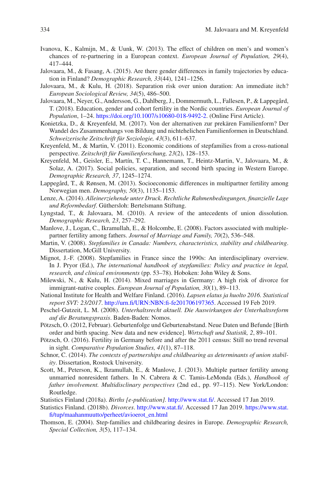- <span id="page-19-22"></span>Ivanova, K., Kalmijn, M., & Uunk, W. (2013). The effect of children on men's and women's chances of re-partnering in a European context. *European Journal of Population, 29*(4), 417–444.
- <span id="page-19-17"></span>Jalovaara, M., & Fasang, A. (2015). Are there gender differences in family trajectories by education in Finland? *Demographic Research, 33*(44), 1241–1256.
- <span id="page-19-16"></span>Jalovaara, M., & Kulu, H. (2018). Separation risk over union duration: An immediate itch? *European Sociological Review, 34*(5), 486–500.
- <span id="page-19-8"></span>Jalovaara, M., Neyer, G., Andersson, G., Dahlberg, J., Dommermuth, L., Fallesen, P., & Lappegård, T. (2018). Education, gender and cohort fertility in the Nordic countries. *European Journal of Population*, 1–24. [https://doi.org/10.1007/s10680-018-9492-2.](https://doi.org/10.1007/s10680-018-9492-2) (Online First Article).
- <span id="page-19-18"></span>Konietzka, D., & Kreyenfeld, M. (2017). Von der alternativen zur prekären Familienform? Der Wandel des Zusammenhangs von Bildung und nichtehelichen Familienformen in Deutschland. *Schweizerische Zeitschrift für Soziologie, 43*(3), 611–637.
- <span id="page-19-12"></span>Kreyenfeld, M., & Martin, V. (2011). Economic conditions of stepfamilies from a cross-national perspective. *Zeitschrift für Familienforschung, 23*(2), 128–153.
- <span id="page-19-11"></span>Kreyenfeld, M., Geisler, E., Martín, T. C., Hannemann, T., Heintz-Martin, V., Jalovaara, M., & Solaz, A. (2017). Social policies, separation, and second birth spacing in Western Europe. *Demographic Research, 37*, 1245–1274.
- <span id="page-19-1"></span>Lappegård, T., & Rønsen, M. (2013). Socioeconomic differences in multipartner fertility among Norwegian men. *Demography, 50*(3), 1135–1153.
- <span id="page-19-4"></span>Lenze, A. (2014). *Alleinerziehende unter Druck. Rechtliche Rahmenbedingungen, finanzielle Lage und Reformbedarf*. Güthersloh: Bertelsmann Stiftung.
- <span id="page-19-0"></span>Lyngstad, T., & Jalovaara, M. (2010). A review of the antecedents of union dissolution. *Demographic Research, 23*, 257–292.
- <span id="page-19-2"></span>Manlove, J., Logan, C., Ikramullah, E., & Holcombe, E. (2008). Factors associated with multiplepartner fertility among fathers. *Journal of Marriage and Family, 70*(2), 536–548.
- <span id="page-19-13"></span>Martin, V. (2008). *Stepfamilies in Canada: Numbers, characteristics, stability and childbearing*. Dissertation, McGill University.
- <span id="page-19-14"></span>Mignot, J.-F. (2008). Stepfamilies in France since the 1990s: An interdisciplinary overview. In J. Pryor (Ed.), *The international handbook of stepfamilies: Policy and practice in legal, research, and clinical environments* (pp. 53–78). Hoboken: John Wiley & Sons.
- <span id="page-19-20"></span>Milewski, N., & Kulu, H. (2014). Mixed marriages in Germany: A high risk of divorce for immigrant-native couples. *European Journal of Population, 30*(1), 89–113.
- <span id="page-19-6"></span>National Institute for Health and Welfare Finland. (2016). *Lapsen elatus ja huolto 2016. Statistical report SVT: 23/2017*. <http://urn.fi/URN:NBN:fi-fe201706197365>. Accessed 19 Feb 2019.
- <span id="page-19-5"></span>Peschel-Gutzeit, L. M. (2008). *Unterhaltsrecht aktuell. Die Auswirkungen der Unterhaltsreform auf die Beratungspraxis*. Baden-Baden: Nomos.
- <span id="page-19-10"></span>Pötzsch, O. (2012, Februar). Geburtenfolge und Geburtenabstand. Neue Daten und Befunde [Birth order and birth spacing. New data and new evidence]. *Wirtschaft und Statistik, 2*, 89–101.
- <span id="page-19-7"></span>Pötzsch, O. (2016). Fertility in Germany before and after the 2011 census: Still no trend reversal in sight. *Comparative Population Studies, 41*(1), 87–118.
- <span id="page-19-19"></span>Schnor, C. (2014). *The contexts of partnerships and childbearing as determinants of union stability*. Dissertation, Rostock University.
- <span id="page-19-3"></span>Scott, M., Peterson, K., Ikramullah, E., & Manlove, J. (2013). Multiple partner fertility among unmarried nonresident fathers. In N. Cabrera & C. Tamis-LeMonda (Eds.), *Handbook of father involvement. Multidisclinary perspectives* (2nd ed., pp. 97–115). New York/London: Routledge.
- <span id="page-19-9"></span>Statistics Finland (2018a). *Births [e-publication].* [http://www.stat.fi/.](http://www.stat.fi/) Accessed 17 Jan 2019.
- <span id="page-19-21"></span>Statistics Finland. (2018b). *Divorces*. <http://www.stat.fi/>. Accessed 17 Jan 2019. [https://www.stat.](https://www.stat.fi/tup/maahanmuutto/perheet/avioerot_en.html) [fi/tup/maahanmuutto/perheet/avioerot\\_en.html](https://www.stat.fi/tup/maahanmuutto/perheet/avioerot_en.html)
- <span id="page-19-15"></span>Thomson, E. (2004). Step-families and childbearing desires in Europe. *Demographic Research, Special Collection, 3*(5), 117–134.